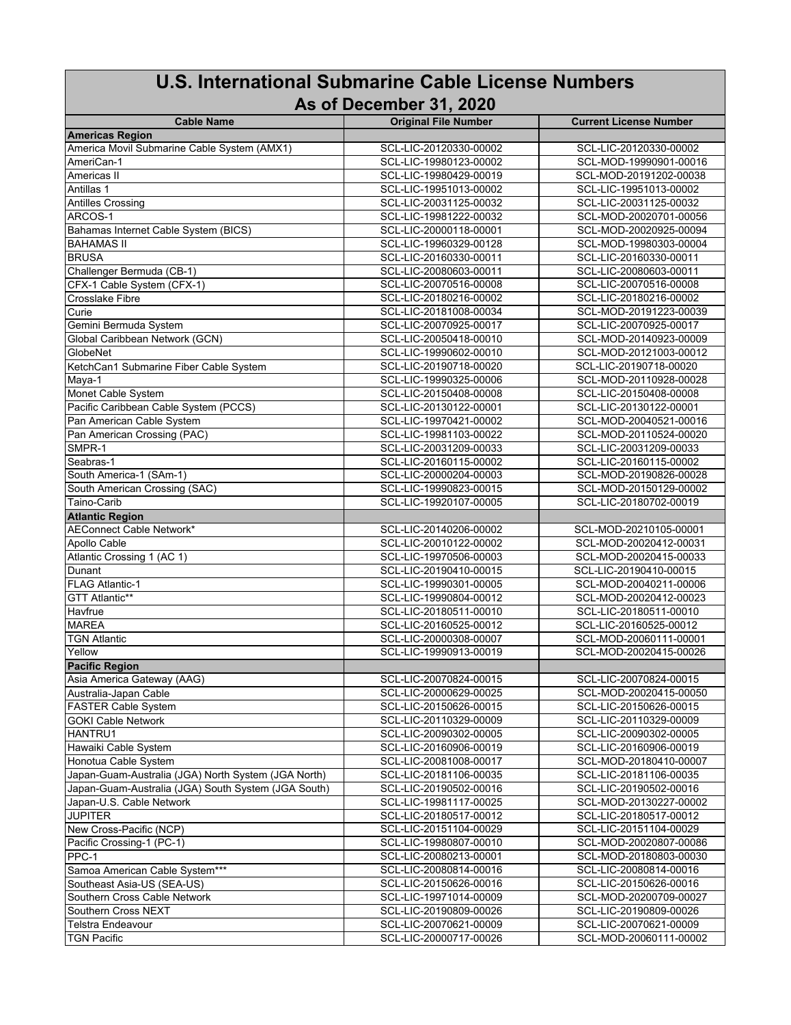## **U.S. International Submarine Cable License Numbers**

## **As of December 31, 2020**

| <b>Cable Name</b>                                   | <b>Original File Number</b> | <b>Current License Number</b> |
|-----------------------------------------------------|-----------------------------|-------------------------------|
| <b>Americas Region</b>                              |                             |                               |
| America Movil Submarine Cable System (AMX1)         | SCL-LIC-20120330-00002      | SCL-LIC-20120330-00002        |
| AmeriCan-1                                          | SCL-LIC-19980123-00002      | SCL-MOD-19990901-00016        |
| Americas II                                         | SCL-LIC-19980429-00019      | SCL-MOD-20191202-00038        |
| Antillas 1                                          | SCL-LIC-19951013-00002      | SCL-LIC-19951013-00002        |
| <b>Antilles Crossing</b>                            | SCL-LIC-20031125-00032      | SCL-LIC-20031125-00032        |
| ARCOS-1                                             | SCL-LIC-19981222-00032      | SCL-MOD-20020701-00056        |
| Bahamas Internet Cable System (BICS)                | SCL-LIC-20000118-00001      | SCL-MOD-20020925-00094        |
| <b>BAHAMAS II</b>                                   | SCL-LIC-19960329-00128      | SCL-MOD-19980303-00004        |
| <b>BRUSA</b>                                        | SCL-LIC-20160330-00011      | SCL-LIC-20160330-00011        |
| Challenger Bermuda (CB-1)                           | SCL-LIC-20080603-00011      | SCL-LIC-20080603-00011        |
| CFX-1 Cable System (CFX-1)                          | SCL-LIC-20070516-00008      | SCL-LIC-20070516-00008        |
| Crosslake Fibre                                     | SCL-LIC-20180216-00002      | SCL-LIC-20180216-00002        |
|                                                     | SCL-LIC-20181008-00034      | SCL-MOD-20191223-00039        |
| Curie<br>Gemini Bermuda System                      |                             |                               |
|                                                     | SCL-LIC-20070925-00017      | SCL-LIC-20070925-00017        |
| Global Caribbean Network (GCN)                      | SCL-LIC-20050418-00010      | SCL-MOD-20140923-00009        |
| GlobeNet                                            | SCL-LIC-19990602-00010      | SCL-MOD-20121003-00012        |
| KetchCan1 Submarine Fiber Cable System              | SCL-LIC-20190718-00020      | SCL-LIC-20190718-00020        |
| $M$ aya-1                                           | SCL-LIC-19990325-00006      | SCL-MOD-20110928-00028        |
| Monet Cable System                                  | SCL-LIC-20150408-00008      | SCL-LIC-20150408-00008        |
| Pacific Caribbean Cable System (PCCS)               | SCL-LIC-20130122-00001      | SCL-LIC-20130122-00001        |
| Pan American Cable System                           | SCL-LIC-19970421-00002      | SCL-MOD-20040521-00016        |
| Pan American Crossing (PAC)                         | SCL-LIC-19981103-00022      | SCL-MOD-20110524-00020        |
| SMPR-1                                              | SCL-LIC-20031209-00033      | SCL-LIC-20031209-00033        |
| Seabras-1                                           | SCL-LIC-20160115-00002      | SCL-LIC-20160115-00002        |
| South America-1 (SAm-1)                             | SCL-LIC-20000204-00003      | SCL-MOD-20190826-00028        |
| South American Crossing (SAC)                       | SCL-LIC-19990823-00015      | SCL-MOD-20150129-00002        |
| Taino-Carib                                         | SCL-LIC-19920107-00005      | SCL-LIC-20180702-00019        |
| <b>Atlantic Region</b>                              |                             |                               |
| <b>AEConnect Cable Network*</b>                     | SCL-LIC-20140206-00002      | SCL-MOD-20210105-00001        |
| Apollo Cable                                        | SCL-LIC-20010122-00002      | SCL-MOD-20020412-00031        |
| Atlantic Crossing 1 (AC 1)                          |                             |                               |
|                                                     | SCL-LIC-19970506-00003      | SCL-MOD-20020415-00033        |
| Dunant                                              | SCL-LIC-20190410-00015      | SCL-LIC-20190410-00015        |
| <b>FLAG Atlantic-1</b>                              | SCL-LIC-19990301-00005      | SCL-MOD-20040211-00006        |
| GTT Atlantic**                                      | SCL-LIC-19990804-00012      | SCL-MOD-20020412-00023        |
| Havfrue                                             | SCL-LIC-20180511-00010      | SCL-LIC-20180511-00010        |
| <b>MAREA</b>                                        | SCL-LIC-20160525-00012      | SCL-LIC-20160525-00012        |
| <b>TGN Atlantic</b>                                 | SCL-LIC-20000308-00007      | SCL-MOD-20060111-00001        |
| Yellow                                              | SCL-LIC-19990913-00019      | SCL-MOD-20020415-00026        |
| <b>Pacific Region</b>                               |                             |                               |
| Asia America Gateway (AAG)                          | SCL-LIC-20070824-00015      | SCL-LIC-20070824-00015        |
| Australia-Japan Cable                               | SCL-LIC-20000629-00025      | SCL-MOD-20020415-00050        |
| <b>FASTER Cable System</b>                          | SCL-LIC-20150626-00015      | SCL-LIC-20150626-00015        |
| <b>GOKI Cable Network</b>                           | SCL-LIC-20110329-00009      | SCL-LIC-20110329-00009        |
| HANTRU1                                             | SCL-LIC-20090302-00005      | SCL-LIC-20090302-00005        |
| Hawaiki Cable System                                | SCL-LIC-20160906-00019      | SCL-LIC-20160906-00019        |
| Honotua Cable System                                | SCL-LIC-20081008-00017      | SCL-MOD-20180410-00007        |
| Japan-Guam-Australia (JGA) North System (JGA North) | SCL-LIC-20181106-00035      | SCL-LIC-20181106-00035        |
| Japan-Guam-Australia (JGA) South System (JGA South) | SCL-LIC-20190502-00016      | SCL-LIC-20190502-00016        |
| Japan-U.S. Cable Network                            | SCL-LIC-19981117-00025      | SCL-MOD-20130227-00002        |
| <b>JUPITER</b>                                      | SCL-LIC-20180517-00012      | SCL-LIC-20180517-00012        |
| New Cross-Pacific (NCP)                             | SCL-LIC-20151104-00029      | SCL-LIC-20151104-00029        |
| Pacific Crossing-1 (PC-1)                           | SCL-LIC-19980807-00010      | SCL-MOD-20020807-00086        |
|                                                     | SCL-LIC-20080213-00001      | SCL-MOD-20180803-00030        |
| PPC-1                                               |                             |                               |
| Samoa American Cable System***                      | SCL-LIC-20080814-00016      | SCL-LIC-20080814-00016        |
| Southeast Asia-US (SEA-US)                          | SCL-LIC-20150626-00016      | SCL-LIC-20150626-00016        |
| Southern Cross Cable Network                        | SCL-LIC-19971014-00009      | SCL-MOD-20200709-00027        |
| Southern Cross NEXT                                 | SCL-LIC-20190809-00026      | SCL-LIC-20190809-00026        |
| <b>Telstra Endeavour</b>                            | SCL-LIC-20070621-00009      | SCL-LIC-20070621-00009        |
| <b>TGN Pacific</b>                                  | SCL-LIC-20000717-00026      | SCL-MOD-20060111-00002        |